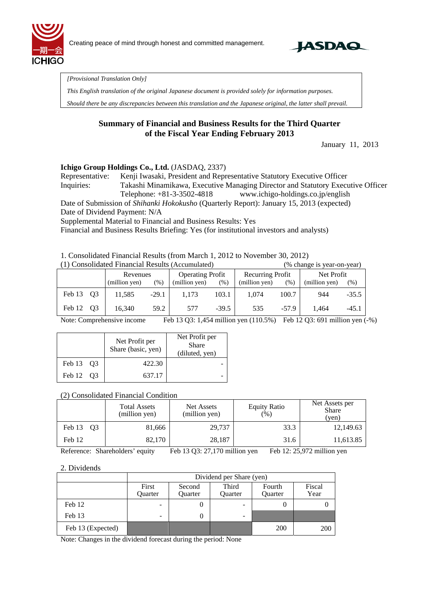



*[Provisional Translation Only]* 

*This English translation of the original Japanese document is provided solely for information purposes.* 

*Should there be any discrepancies between this translation and the Japanese original, the latter shall prevail.*

### **Summary of Financial and Business Results for the Third Quarter of the Fiscal Year Ending February 2013**

January 11, 2013

#### **Ichigo Group Holdings Co., Ltd.** (JASDAQ, 2337)

Representative: Kenji Iwasaki, President and Representative Statutory Executive Officer Inquiries: Takashi Minamikawa, Executive Managing Director and Statutory Executive Officer Telephone: +81-3-3502-4818 www.ichigo-holdings.co.jp/english

Date of Submission of *Shihanki Hokokusho* (Quarterly Report): January 15, 2013 (expected)

Date of Dividend Payment: N/A

Supplemental Material to Financial and Business Results: Yes

Financial and Business Results Briefing: Yes (for institutional investors and analysts)

1. Consolidated Financial Results (from March 1, 2012 to November 30, 2012)

| (1) Consolidated Financial Results (Accumulated) |  |               |         |                         |         |                         | (% change is year-on-year) |               |         |
|--------------------------------------------------|--|---------------|---------|-------------------------|---------|-------------------------|----------------------------|---------------|---------|
|                                                  |  | Revenues      |         | <b>Operating Profit</b> |         | <b>Recurring Profit</b> |                            | Net Profit    |         |
|                                                  |  | (million yen) | (%)     | (million yen)           | $(\%)$  | (million yen)           | $(\% )$                    | (million yen) | $(\%)$  |
| Feb 13 Q3                                        |  | 11.585        | $-29.1$ | 1.173                   | 103.1   | 1.074                   | 100.7                      | 944           | $-35.5$ |
| Feb 12 Q3                                        |  | 16,340        | 59.2    | 577                     | $-39.5$ | 535                     | $-57.9$                    | 1.464         | $-45.1$ |

Note: Comprehensive income Feb 13 Q3: 1,454 million yen (110.5%) Feb 12 Q3: 691 million yen (-%)

|           | Net Profit per<br>Share (basic, yen) | Net Profit per<br><b>Share</b><br>(diluted, yen) |
|-----------|--------------------------------------|--------------------------------------------------|
| Feb 13 Q3 | 422.30                               |                                                  |
| Feb 12 03 | 637.17                               |                                                  |

#### (2) Consolidated Financial Condition

|                          | <b>Total Assets</b><br>(million yen) | Net Assets<br>(million yen) | <b>Equity Ratio</b><br>(96) | Net Assets per<br><b>Share</b><br>(ven) |
|--------------------------|--------------------------------------|-----------------------------|-----------------------------|-----------------------------------------|
| Feb 13<br>O <sub>3</sub> | 81,666                               | 29,737                      | 33.3                        | 12,149.63                               |
| Feb 12                   | 82,170                               | 28,187                      | 31.6                        | 11,613.85                               |

Reference: Shareholders' equity Feb 13 Q3: 27,170 million yen Feb 12: 25,972 million yen

#### 2. Dividends

|                   | Dividend per Share (yen)                                                                                |  |                          |     |     |  |  |
|-------------------|---------------------------------------------------------------------------------------------------------|--|--------------------------|-----|-----|--|--|
|                   | First<br>Third<br>Fiscal<br>Fourth<br>Second<br>Year<br>Ouarter<br>Ouarter<br>Quarter<br><b>Ouarter</b> |  |                          |     |     |  |  |
| Feb 12            | -                                                                                                       |  |                          |     |     |  |  |
| Feb 13            | $\overline{\phantom{0}}$                                                                                |  | $\overline{\phantom{0}}$ |     |     |  |  |
| Feb 13 (Expected) |                                                                                                         |  |                          | 200 | 200 |  |  |

Note: Changes in the dividend forecast during the period: None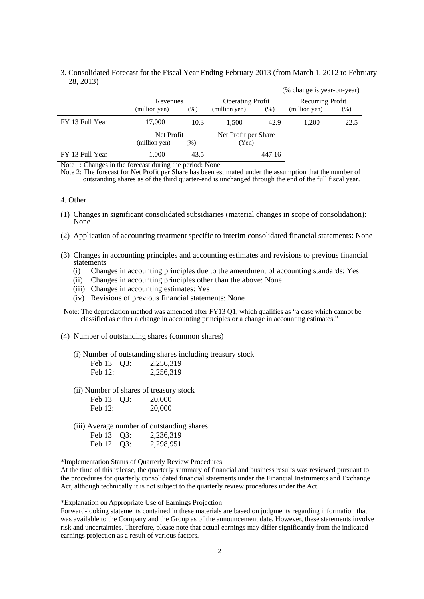3. Consolidated Forecast for the Fiscal Year Ending February 2013 (from March 1, 2012 to February 28, 2013)  $(0)$  change is year-on-year)

|                 |                             |         |                                          |        | 70 UHANGU IS VUAL-UIL-VUAL        |      |
|-----------------|-----------------------------|---------|------------------------------------------|--------|-----------------------------------|------|
|                 | Revenues<br>(million yen)   | $(\%)$  | <b>Operating Profit</b><br>(million yen) | $(\%)$ | Recurring Profit<br>(million yen) | (% ) |
| FY 13 Full Year | 17,000                      | $-10.3$ | 1,500                                    | 42.9   | 1.200                             | 22.5 |
|                 | Net Profit<br>(million yen) | (%)     | Net Profit per Share<br>(Yen)            |        |                                   |      |
| FY 13 Full Year | 1,000                       | $-43.5$ |                                          | 447.16 |                                   |      |

Note 1: Changes in the forecast during the period: None

Note 2: The forecast for Net Profit per Share has been estimated under the assumption that the number of outstanding shares as of the third quarter-end is unchanged through the end of the full fiscal year.

#### 4. Other

- (1) Changes in significant consolidated subsidiaries (material changes in scope of consolidation): None
- (2) Application of accounting treatment specific to interim consolidated financial statements: None
- (3) Changes in accounting principles and accounting estimates and revisions to previous financial statements
	- (i) Changes in accounting principles due to the amendment of accounting standards: Yes
	- (ii) Changes in accounting principles other than the above: None
	- (iii) Changes in accounting estimates: Yes
	- (iv) Revisions of previous financial statements: None

Note: The depreciation method was amended after FY13 Q1, which qualifies as "a case which cannot be classified as either a change in accounting principles or a change in accounting estimates."

(4) Number of outstanding shares (common shares)

(i) Number of outstanding shares including treasury stock

| Feb 13 Q3: | 2,256,319 |
|------------|-----------|
| Feb 12:    | 2,256,319 |

(ii) Number of shares of treasury stock

| Feb 13 Q3: | 20,000 |
|------------|--------|
| Feb 12:    | 20,000 |

(iii) Average number of outstanding shares

| Feb 13 Q3: | 2,236,319 |
|------------|-----------|
| Feb 12 Q3: | 2,298,951 |

\*Implementation Status of Quarterly Review Procedures

At the time of this release, the quarterly summary of financial and business results was reviewed pursuant to the procedures for quarterly consolidated financial statements under the Financial Instruments and Exchange Act, although technically it is not subject to the quarterly review procedures under the Act.

\*Explanation on Appropriate Use of Earnings Projection

Forward-looking statements contained in these materials are based on judgments regarding information that was available to the Company and the Group as of the announcement date. However, these statements involve risk and uncertainties. Therefore, please note that actual earnings may differ significantly from the indicated earnings projection as a result of various factors.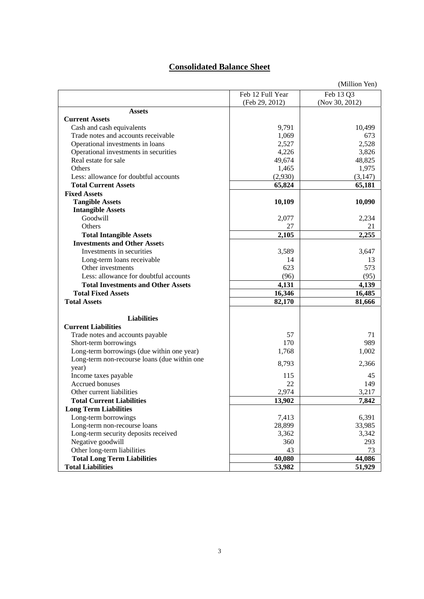## **Consolidated Balance Sheet**

|                                              |                  | (Million Yen)  |
|----------------------------------------------|------------------|----------------|
|                                              | Feb 12 Full Year | Feb 13 Q3      |
|                                              | (Feb 29, 2012)   | (Nov 30, 2012) |
| <b>Assets</b>                                |                  |                |
| <b>Current Assets</b>                        |                  |                |
| Cash and cash equivalents                    | 9,791            | 10,499         |
| Trade notes and accounts receivable          | 1,069            | 673            |
| Operational investments in loans             | 2,527            | 2,528          |
| Operational investments in securities        | 4,226            | 3,826          |
| Real estate for sale                         | 49,674           | 48,825         |
| Others                                       | 1,465            | 1,975          |
| Less: allowance for doubtful accounts        | (2,930)          | (3, 147)       |
| <b>Total Current Assets</b>                  | 65,824           | 65,181         |
| <b>Fixed Assets</b>                          |                  |                |
| <b>Tangible Assets</b>                       | 10,109           | 10,090         |
| <b>Intangible Assets</b>                     |                  |                |
| Goodwill                                     | 2,077            | 2,234          |
| Others                                       | 27               | 21             |
| <b>Total Intangible Assets</b>               | 2,105            | 2,255          |
| <b>Investments and Other Assets</b>          |                  |                |
| Investments in securities                    | 3,589            | 3,647          |
| Long-term loans receivable                   | 14               | 13             |
| Other investments                            | 623              | 573            |
| Less: allowance for doubtful accounts        | (96)             | (95)           |
| <b>Total Investments and Other Assets</b>    | 4,131            | 4,139          |
| <b>Total Fixed Assets</b>                    | 16,346           | 16,485         |
| <b>Total Assets</b>                          | 82,170           | 81,666         |
|                                              |                  |                |
| <b>Liabilities</b>                           |                  |                |
| <b>Current Liabilities</b>                   |                  |                |
| Trade notes and accounts payable             | 57               | 71             |
| Short-term borrowings                        | 170              | 989            |
| Long-term borrowings (due within one year)   | 1,768            | 1,002          |
| Long-term non-recourse loans (due within one |                  |                |
| year)                                        | 8,793            | 2,366          |
| Income taxes payable                         | 115              | 45             |
| Accrued bonuses                              | 22               | 149            |
| Other current liabilities                    | 2,974            | 3,217          |
| <b>Total Current Liabilities</b>             | 13,902           | 7,842          |
| <b>Long Term Liabilities</b>                 |                  |                |
| Long-term borrowings                         | 7,413            | 6,391          |
| Long-term non-recourse loans                 | 28,899           | 33,985         |
| Long-term security deposits received         | 3,362            | 3,342          |
| Negative goodwill                            | 360              | 293            |
| Other long-term liabilities                  | 43               | 73             |
| <b>Total Long Term Liabilities</b>           | 40,080           | 44,086         |
| <b>Total Liabilities</b>                     | 53,982           | 51,929         |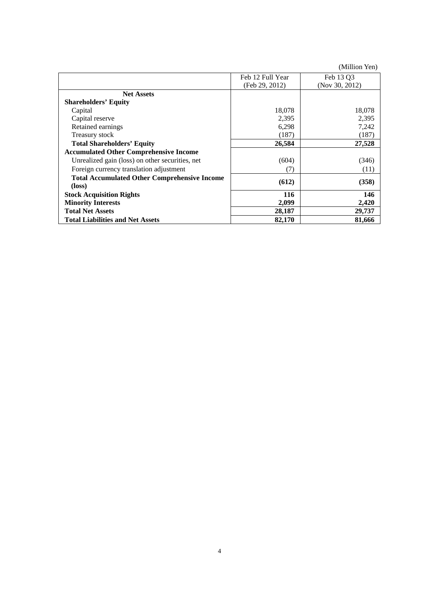(Million Yen)

|                                                     | Feb 12 Full Year | Feb 13 Q3      |
|-----------------------------------------------------|------------------|----------------|
|                                                     | (Feb 29, 2012)   | (Nov 30, 2012) |
| <b>Net Assets</b>                                   |                  |                |
| <b>Shareholders' Equity</b>                         |                  |                |
| Capital                                             | 18,078           | 18,078         |
| Capital reserve                                     | 2,395            | 2,395          |
| Retained earnings                                   | 6,298            | 7,242          |
| Treasury stock                                      | (187)            | (187)          |
| <b>Total Shareholders' Equity</b>                   | 26,584           | 27,528         |
| <b>Accumulated Other Comprehensive Income</b>       |                  |                |
| Unrealized gain (loss) on other securities, net     | (604)            | (346)          |
| Foreign currency translation adjustment             | (7)              | (11)           |
| <b>Total Accumulated Other Comprehensive Income</b> | (612)            | (358)          |
| $(\text{loss})$                                     |                  |                |
| <b>Stock Acquisition Rights</b>                     | 116              | 146            |
| <b>Minority Interests</b>                           | 2,099            | 2,420          |
| <b>Total Net Assets</b>                             | 28,187           | 29,737         |
| <b>Total Liabilities and Net Assets</b>             | 82,170           | 81,666         |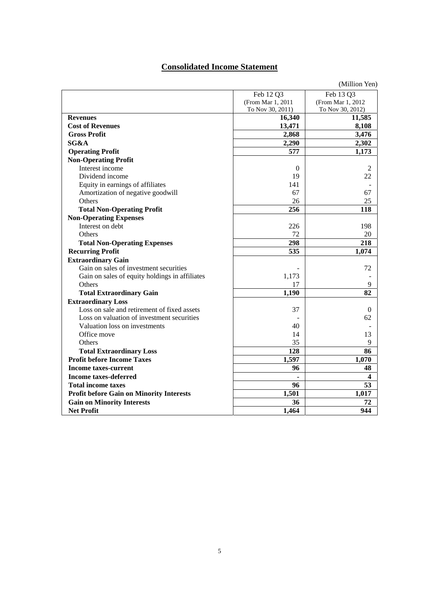## **Consolidated Income Statement**

|                                                 |                   | (Million Yen)     |
|-------------------------------------------------|-------------------|-------------------|
|                                                 | Feb 12 Q3         | Feb 13 Q3         |
|                                                 | (From Mar 1, 2011 | (From Mar 1, 2012 |
|                                                 | To Nov 30, 2011)  | To Nov 30, 2012)  |
| <b>Revenues</b>                                 | 16,340            | 11,585            |
| <b>Cost of Revenues</b>                         | 13,471            | 8,108             |
| <b>Gross Profit</b>                             | 2,868             | 3,476             |
| SG&A                                            | 2,290             | 2,302             |
| <b>Operating Profit</b>                         | 577               | 1,173             |
| <b>Non-Operating Profit</b>                     |                   |                   |
| Interest income                                 | $\Omega$          | $\mathfrak{D}$    |
| Dividend income                                 | 19                | 22                |
| Equity in earnings of affiliates                | 141               |                   |
| Amortization of negative goodwill               | 67                | 67                |
| Others                                          | 26                | 25                |
| <b>Total Non-Operating Profit</b>               | 256               | 118               |
| <b>Non-Operating Expenses</b>                   |                   |                   |
| Interest on debt                                | 226               | 198               |
| <b>Others</b>                                   | 72                | 20                |
| <b>Total Non-Operating Expenses</b>             | 298               | 218               |
| <b>Recurring Profit</b>                         | 535               | 1,074             |
| <b>Extraordinary Gain</b>                       |                   |                   |
| Gain on sales of investment securities          |                   | 72                |
| Gain on sales of equity holdings in affiliates  | 1,173             |                   |
| <b>Others</b>                                   | 17                | 9                 |
| <b>Total Extraordinary Gain</b>                 | 1,190             | 82                |
| <b>Extraordinary Loss</b>                       |                   |                   |
| Loss on sale and retirement of fixed assets     | 37                | $\boldsymbol{0}$  |
| Loss on valuation of investment securities      |                   | 62                |
| Valuation loss on investments                   | 40                |                   |
| Office move                                     | 14                | 13                |
| Others                                          | 35                | 9                 |
| <b>Total Extraordinary Loss</b>                 | 128               | 86                |
| <b>Profit before Income Taxes</b>               | 1,597             | 1,070             |
| Income taxes-current                            | 96                | 48                |
| Income taxes-deferred                           |                   | 4                 |
| <b>Total income taxes</b>                       | 96                | 53                |
| <b>Profit before Gain on Minority Interests</b> | 1,501             | 1,017             |
| <b>Gain on Minority Interests</b>               | 36                | 72                |
| <b>Net Profit</b>                               | 1,464             | 944               |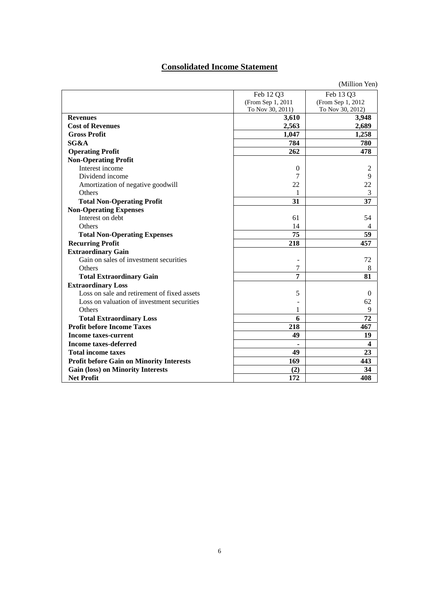## **Consolidated Income Statement**

|                                                 |                   | (Million Yen)     |
|-------------------------------------------------|-------------------|-------------------|
|                                                 | Feb 12 Q3         | Feb 13 Q3         |
|                                                 | (From Sep 1, 2011 | (From Sep 1, 2012 |
|                                                 | To Nov 30, 2011)  | To Nov 30, 2012)  |
| <b>Revenues</b>                                 | 3,610             | 3,948             |
| <b>Cost of Revenues</b>                         | 2,563             | 2,689             |
| <b>Gross Profit</b>                             | 1,047             | 1,258             |
| SG&A                                            | 784               | 780               |
| <b>Operating Profit</b>                         | 262               | 478               |
| <b>Non-Operating Profit</b>                     |                   |                   |
| Interest income                                 | $\mathbf{0}$      | $\overline{c}$    |
| Dividend income                                 | 7                 | 9                 |
| Amortization of negative goodwill               | 22                | 22                |
| Others                                          | 1                 | 3                 |
| <b>Total Non-Operating Profit</b>               | 31                | 37                |
| <b>Non-Operating Expenses</b>                   |                   |                   |
| Interest on debt                                | 61                | 54                |
| Others                                          | 14                | 4                 |
| <b>Total Non-Operating Expenses</b>             | 75                | 59                |
| <b>Recurring Profit</b>                         | 218               | 457               |
| <b>Extraordinary Gain</b>                       |                   |                   |
| Gain on sales of investment securities          |                   | 72                |
| Others                                          | 7                 | 8                 |
| <b>Total Extraordinary Gain</b>                 | 7                 | 81                |
| <b>Extraordinary Loss</b>                       |                   |                   |
| Loss on sale and retirement of fixed assets     | 5                 | $\Omega$          |
| Loss on valuation of investment securities      |                   | 62                |
| Others                                          | 1                 | 9                 |
| <b>Total Extraordinary Loss</b>                 | 6                 | 72                |
| <b>Profit before Income Taxes</b>               | 218               | 467               |
| <b>Income taxes-current</b>                     | 49                | 19                |
| <b>Income taxes-deferred</b>                    |                   | $\boldsymbol{4}$  |
| <b>Total income taxes</b>                       | 49                | 23                |
| <b>Profit before Gain on Minority Interests</b> | 169               | 443               |
| <b>Gain (loss) on Minority Interests</b>        | (2)               | 34                |
| <b>Net Profit</b>                               | 172               | 408               |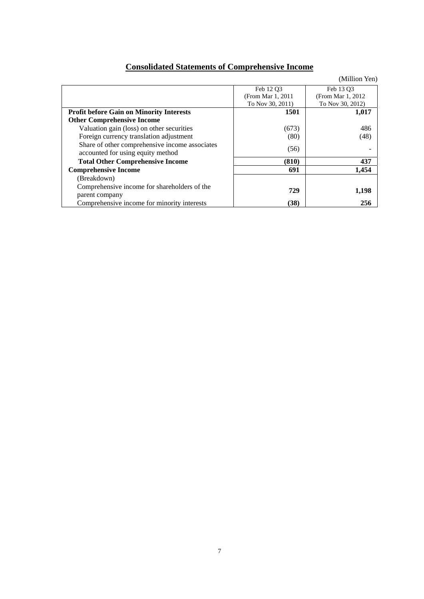# **Consolidated Statements of Comprehensive Income**

|                                                                                     |                    | (Million Yen)      |
|-------------------------------------------------------------------------------------|--------------------|--------------------|
|                                                                                     | Feb 12 O3          | Feb 13 O3          |
|                                                                                     | (From Mar 1, 2011) | (From Mar 1, 2012) |
|                                                                                     | To Nov 30, 2011)   | To Nov 30, 2012)   |
| <b>Profit before Gain on Minority Interests</b>                                     | 1501               | 1,017              |
| <b>Other Comprehensive Income</b>                                                   |                    |                    |
| Valuation gain (loss) on other securities                                           | (673)              | 486                |
| Foreign currency translation adjustment                                             | (80)               | (48)               |
| Share of other comprehensive income associates<br>accounted for using equity method | (56)               |                    |
| <b>Total Other Comprehensive Income</b>                                             | (810)              | 437                |
| <b>Comprehensive Income</b>                                                         | 691                | 1,454              |
| (Breakdown)                                                                         |                    |                    |
| Comprehensive income for shareholders of the                                        | 729                | 1,198              |
| parent company                                                                      |                    |                    |
| Comprehensive income for minority interests                                         | (38)               | 256                |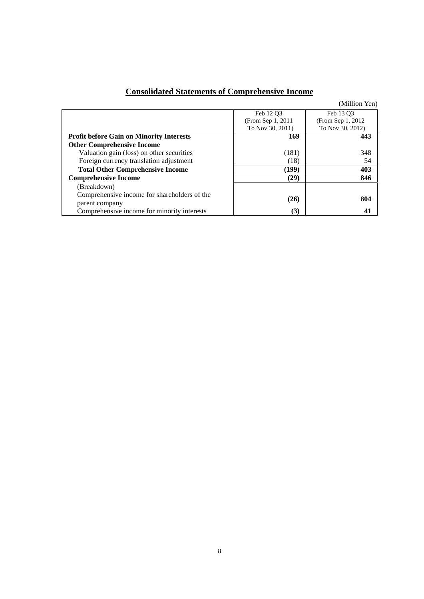|  |  | <b>Consolidated Statements of Comprehensive Income</b> |  |
|--|--|--------------------------------------------------------|--|
|  |  |                                                        |  |

(Million Yen)

|                                                 | Feb 12 O3          | Feb 13 O3          |
|-------------------------------------------------|--------------------|--------------------|
|                                                 | (From Sep 1, 2011) | (From Sep 1, 2012) |
|                                                 | To Nov 30, 2011)   | To Nov 30, 2012)   |
| <b>Profit before Gain on Minority Interests</b> | 169                | 443                |
| <b>Other Comprehensive Income</b>               |                    |                    |
| Valuation gain (loss) on other securities       | (181)              | 348                |
| Foreign currency translation adjustment         | (18)               | 54                 |
| <b>Total Other Comprehensive Income</b>         | (199)              | 403                |
| <b>Comprehensive Income</b>                     | (29)               | 846                |
| (Breakdown)                                     |                    |                    |
| Comprehensive income for shareholders of the    |                    | 804                |
| parent company                                  | (26)               |                    |
| Comprehensive income for minority interests     | (3)                | 41                 |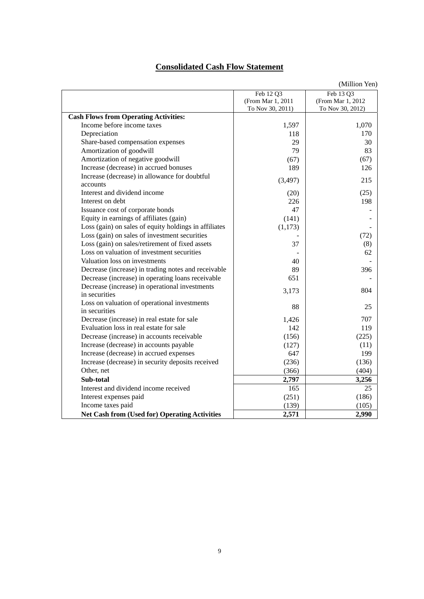## **Consolidated Cash Flow Statement**

|                                                           |                   | (Million Yen)     |
|-----------------------------------------------------------|-------------------|-------------------|
|                                                           | Feb 12 Q3         | Feb 13 Q3         |
|                                                           | (From Mar 1, 2011 | (From Mar 1, 2012 |
|                                                           | To Nov 30, 2011)  | To Nov 30, 2012)  |
| <b>Cash Flows from Operating Activities:</b>              |                   |                   |
| Income before income taxes                                | 1,597             | 1,070             |
| Depreciation                                              | 118               | 170               |
| Share-based compensation expenses                         | 29                | 30                |
| Amortization of goodwill                                  | 79                | 83                |
| Amortization of negative goodwill                         | (67)              | (67)              |
| Increase (decrease) in accrued bonuses                    | 189               | 126               |
| Increase (decrease) in allowance for doubtful<br>accounts | (3, 497)          | 215               |
| Interest and dividend income                              | (20)              | (25)              |
| Interest on debt                                          | 226               | 198               |
| Issuance cost of corporate bonds                          | 47                |                   |
| Equity in earnings of affiliates (gain)                   | (141)             |                   |
| Loss (gain) on sales of equity holdings in affiliates     | (1,173)           |                   |
| Loss (gain) on sales of investment securities             |                   | (72)              |
| Loss (gain) on sales/retirement of fixed assets           | 37                | (8)               |
| Loss on valuation of investment securities                |                   | 62                |
| Valuation loss on investments                             | 40                |                   |
| Decrease (increase) in trading notes and receivable       | 89                | 396               |
| Decrease (increase) in operating loans receivable         | 651               |                   |
| Decrease (increase) in operational investments            |                   |                   |
| in securities                                             | 3,173             | 804               |
| Loss on valuation of operational investments              | 88                | 25                |
| in securities                                             |                   |                   |
| Decrease (increase) in real estate for sale               | 1,426             | 707               |
| Evaluation loss in real estate for sale                   | 142               | 119               |
| Decrease (increase) in accounts receivable                | (156)             | (225)             |
| Increase (decrease) in accounts payable                   | (127)             | (11)              |
| Increase (decrease) in accrued expenses                   | 647               | 199               |
| Increase (decrease) in security deposits received         | (236)             | (136)             |
| Other, net                                                | (366)             | (404)             |
| Sub-total                                                 | 2,797             | 3,256             |
| Interest and dividend income received                     | 165               | 25                |
| Interest expenses paid                                    | (251)             | (186)             |
| Income taxes paid                                         | (139)             | (105)             |
| <b>Net Cash from (Used for) Operating Activities</b>      | 2,571             | 2,990             |